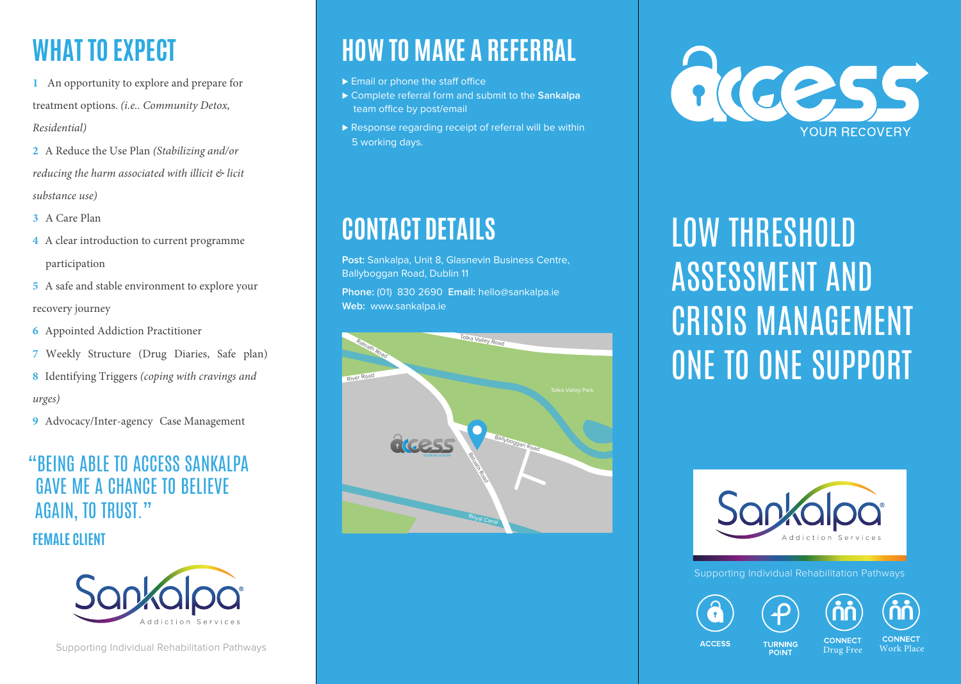# **WHAT TO EXPECT**

**1** An opportunity to explore and prepare for treatment options. *(i.e.. Community Detox, Residential)*

- **2** A Reduce the Use Plan *(Stabilizing and/or reducing the harm associated with illicit & licit substance use)*
- **3** A Care Plan
- **4** A clear introduction to current programme participation
- **5** A safe and stable environment to explore your recovery journey
- **6** Appointed Addiction Practitioner
- **7** Weekly Structure (Drug Diaries, Safe plan)
- **8** Identifying Triggers *(coping with cravings and urges)*
- **9** Advocacy/Inter-agency Case Management

## "BEING ABLE TO ACCESS SANKALPA GAVE ME A CHANCE TO BELIEVE AGAIN, TO TRUST."

**FEMALE CLIENT** 



# **HOW TO MAKE A REFERRAL**

- ► Email or phone the staff office
- ⊲ Complete referral form and submit to the **Sankalpa** team office by post/email
- ▶ Response regarding receipt of referral will be within 5 working days.

# **CONTACT DETAILS**

**Post:** Sankalpa, Unit 8, Glasnevin Business Centre, Ballyboggan Road, Dublin 11

**Phone:** (01) 830 2690 **Email:** hello@sankalpa.ie **Web:** www.sankalpa.ie





# LOW THRESHOLD ASSESSMENT AND CRISIS MANAGEMENT ONE TO ONE SUPPORT



Supporting Individual Rehabilitation Pathways

**TURNING** POINT





**ACCESS** 

**CONNECT** 

**CONNECT** Drug Free Work Place